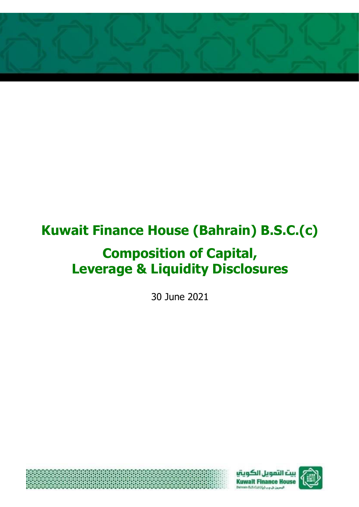

# **Kuwait Finance House (Bahrain) B.S.C.(c)**

## **Composition of Capital, Leverage & Liquidity Disclosures**

30 June 2021





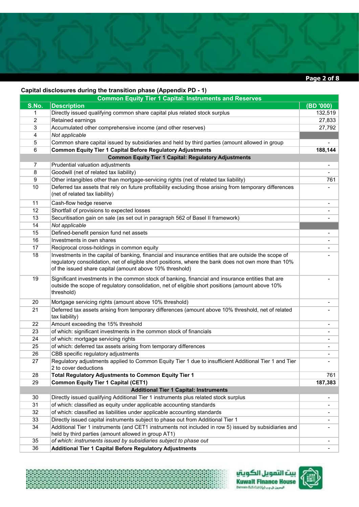

#### **Capital disclosures during the transition phase (Appendix PD - 1)**

₿

\*\*\*\*\*\*\*\*\*\*\*\*\*\*\*\*\*\*\*\*\*\*\*\*\*\*\*\*\*\*\*\*\*\*\*\*\*\*

| $\mu$ and all the starting the transition phase $\mu$ appendix $\mu$<br><b>Common Equity Tier 1 Capital: Instruments and Reserves</b> |                                                                                                                                                                                                                     |                |  |  |
|---------------------------------------------------------------------------------------------------------------------------------------|---------------------------------------------------------------------------------------------------------------------------------------------------------------------------------------------------------------------|----------------|--|--|
| S.No.                                                                                                                                 | <b>Description</b>                                                                                                                                                                                                  | (BD '000)      |  |  |
| 1                                                                                                                                     | Directly issued qualifying common share capital plus related stock surplus                                                                                                                                          | 132,519        |  |  |
| $\overline{2}$                                                                                                                        | Retained earnings                                                                                                                                                                                                   | 27,833         |  |  |
| 3                                                                                                                                     | Accumulated other comprehensive income (and other reserves)                                                                                                                                                         | 27,792         |  |  |
| 4                                                                                                                                     | Not applicable                                                                                                                                                                                                      |                |  |  |
| 5                                                                                                                                     | Common share capital issued by subsidiaries and held by third parties (amount allowed in group                                                                                                                      |                |  |  |
| 6                                                                                                                                     | <b>Common Equity Tier 1 Capital Before Regulatory Adjustments</b>                                                                                                                                                   | 188,144        |  |  |
|                                                                                                                                       | <b>Common Equity Tier 1 Capital: Regulatory Adjustments</b>                                                                                                                                                         |                |  |  |
| 7                                                                                                                                     | Prudential valuation adjustments                                                                                                                                                                                    | $\blacksquare$ |  |  |
| 8                                                                                                                                     | Goodwill (net of related tax liability)                                                                                                                                                                             |                |  |  |
| 9                                                                                                                                     | Other intangibles other than mortgage-servicing rights (net of related tax liability)                                                                                                                               | 761            |  |  |
| 10                                                                                                                                    | Deferred tax assets that rely on future profitability excluding those arising from temporary differences<br>(net of related tax liability)                                                                          |                |  |  |
| 11                                                                                                                                    | Cash-flow hedge reserve                                                                                                                                                                                             |                |  |  |
| 12                                                                                                                                    | Shortfall of provisions to expected losses                                                                                                                                                                          |                |  |  |
| 13                                                                                                                                    | Securitisation gain on sale (as set out in paragraph 562 of Basel II framework)                                                                                                                                     |                |  |  |
| 14                                                                                                                                    | Not applicable                                                                                                                                                                                                      |                |  |  |
| 15                                                                                                                                    | Defined-benefit pension fund net assets                                                                                                                                                                             |                |  |  |
| 16                                                                                                                                    | Investments in own shares                                                                                                                                                                                           |                |  |  |
| 17                                                                                                                                    | Reciprocal cross-holdings in common equity                                                                                                                                                                          |                |  |  |
| 18                                                                                                                                    | Investments in the capital of banking, financial and insurance entities that are outside the scope of                                                                                                               |                |  |  |
|                                                                                                                                       | regulatory consolidation, net of eligible short positions, where the bank does not own more than 10%<br>of the issued share capital (amount above 10% threshold)                                                    |                |  |  |
| 19                                                                                                                                    | Significant investments in the common stock of banking, financial and insurance entities that are<br>outside the scope of regulatory consolidation, net of eligible short positions (amount above 10%<br>threshold) |                |  |  |
| 20                                                                                                                                    | Mortgage servicing rights (amount above 10% threshold)                                                                                                                                                              |                |  |  |
| 21                                                                                                                                    | Deferred tax assets arising from temporary differences (amount above 10% threshold, net of related<br>tax liability)                                                                                                |                |  |  |
| 22                                                                                                                                    | Amount exceeding the 15% threshold                                                                                                                                                                                  |                |  |  |
| 23                                                                                                                                    | of which: significant investments in the common stock of financials                                                                                                                                                 |                |  |  |
| 24                                                                                                                                    | of which: mortgage servicing rights                                                                                                                                                                                 | $\blacksquare$ |  |  |
| 25                                                                                                                                    | of which: deferred tax assets arising from temporary differences                                                                                                                                                    | $\blacksquare$ |  |  |
| 26                                                                                                                                    | CBB specific regulatory adjustments                                                                                                                                                                                 | $\blacksquare$ |  |  |
| 27                                                                                                                                    | Regulatory adjustments applied to Common Equity Tier 1 due to insufficient Additional Tier 1 and Tier                                                                                                               |                |  |  |
|                                                                                                                                       | 2 to cover deductions                                                                                                                                                                                               |                |  |  |
| 28                                                                                                                                    | Total Regulatory Adjustments to Common Equity Tier 1                                                                                                                                                                | 761            |  |  |
| 29                                                                                                                                    | <b>Common Equity Tier 1 Capital (CET1)</b>                                                                                                                                                                          | 187,383        |  |  |
| <b>Additional Tier 1 Capital: Instruments</b>                                                                                         |                                                                                                                                                                                                                     |                |  |  |
| 30                                                                                                                                    | Directly issued qualifying Additional Tier 1 instruments plus related stock surplus                                                                                                                                 | $\blacksquare$ |  |  |
| 31                                                                                                                                    | of which: classified as equity under applicable accounting standards                                                                                                                                                |                |  |  |
| 32                                                                                                                                    | of which: classified as liabilities under applicable accounting standards                                                                                                                                           |                |  |  |
| 33                                                                                                                                    | Directly issued capital instruments subject to phase out from Additional Tier 1                                                                                                                                     |                |  |  |
| 34                                                                                                                                    | Additional Tier 1 instruments (and CET1 instruments not included in row 5) issued by subsidiaries and<br>held by third parties (amount allowed in group AT1)                                                        |                |  |  |
| 35                                                                                                                                    | of which: instruments issued by subsidiaries subject to phase out                                                                                                                                                   | $\blacksquare$ |  |  |
| 36                                                                                                                                    | <b>Additional Tier 1 Capital Before Regulatory Adjustments</b>                                                                                                                                                      |                |  |  |



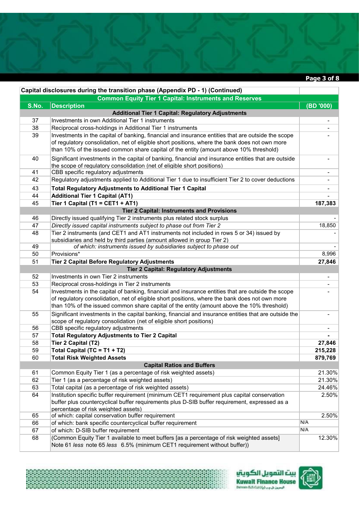**Page 3 of 8** 

|                                                               | Capital disclosures during the transition phase (Appendix PD - 1) (Continued)                         |                          |  |
|---------------------------------------------------------------|-------------------------------------------------------------------------------------------------------|--------------------------|--|
| <b>Common Equity Tier 1 Capital: Instruments and Reserves</b> |                                                                                                       |                          |  |
| S.No.                                                         | <b>Description</b>                                                                                    | (BD '000)                |  |
|                                                               | <b>Additional Tier 1 Capital: Regulatory Adjustments</b>                                              |                          |  |
| 37                                                            | Investments in own Additional Tier 1 instruments                                                      | $\overline{\phantom{a}}$ |  |
| 38                                                            | Reciprocal cross-holdings in Additional Tier 1 instruments                                            |                          |  |
| 39                                                            | Investments in the capital of banking, financial and insurance entities that are outside the scope    |                          |  |
|                                                               | of regulatory consolidation, net of eligible short positions, where the bank does not own more        |                          |  |
|                                                               | than 10% of the issued common share capital of the entity (amount above 10% threshold)                |                          |  |
| 40                                                            | Significant investments in the capital of banking, financial and insurance entities that are outside  |                          |  |
|                                                               | the scope of regulatory consolidation (net of eligible short positions)                               |                          |  |
| 41                                                            | CBB specific regulatory adjustments                                                                   |                          |  |
| 42                                                            | Regulatory adjustments applied to Additional Tier 1 due to insufficient Tier 2 to cover deductions    |                          |  |
| 43                                                            | <b>Total Regulatory Adjustments to Additional Tier 1 Capital</b>                                      |                          |  |
| 44                                                            | <b>Additional Tier 1 Capital (AT1)</b>                                                                |                          |  |
| 45                                                            | Tier 1 Capital (T1 = CET1 + AT1)                                                                      | 187,383                  |  |
|                                                               |                                                                                                       |                          |  |
|                                                               | <b>Tier 2 Capital: Instruments and Provisions</b>                                                     |                          |  |
| 46                                                            | Directly issued qualifying Tier 2 instruments plus related stock surplus                              |                          |  |
| 47                                                            | Directly issued capital instruments subject to phase out from Tier 2                                  | 18,850                   |  |
| 48                                                            | Tier 2 instruments (and CET1 and AT1 instruments not included in rows 5 or 34) issued by              |                          |  |
|                                                               | subsidiaries and held by third parties (amount allowed in group Tier 2)                               |                          |  |
| 49                                                            | of which: instruments issued by subsidiaries subject to phase out                                     |                          |  |
| 50                                                            | Provisions*                                                                                           | 8,996                    |  |
| 51                                                            | <b>Tier 2 Capital Before Regulatory Adjustments</b>                                                   | 27,846                   |  |
|                                                               | <b>Tier 2 Capital: Regulatory Adjustments</b>                                                         |                          |  |
| 52                                                            | Investments in own Tier 2 instruments                                                                 | $\overline{\phantom{a}}$ |  |
| 53                                                            | Reciprocal cross-holdings in Tier 2 instruments                                                       |                          |  |
| 54                                                            | Investments in the capital of banking, financial and insurance entities that are outside the scope    |                          |  |
|                                                               | of regulatory consolidation, net of eligible short positions, where the bank does not own more        |                          |  |
|                                                               | than 10% of the issued common share capital of the entity (amount above the 10% threshold)            |                          |  |
| 55                                                            | Significant investments in the capital banking, financial and insurance entities that are outside the |                          |  |
|                                                               | scope of regulatory consolidation (net of eligible short positions)                                   |                          |  |
| 56                                                            | CBB specific regulatory adjustments                                                                   |                          |  |
| 57                                                            | <b>Total Regulatory Adjustments to Tier 2 Capital</b>                                                 |                          |  |
| 58                                                            | Tier 2 Capital (T2)                                                                                   | 27,846                   |  |
| 59                                                            | Total Capital (TC = T1 + T2)                                                                          | 215,228                  |  |
| 60                                                            | <b>Total Risk Weighted Assets</b>                                                                     | 879,769                  |  |
|                                                               | <b>Capital Ratios and Buffers</b>                                                                     |                          |  |
| 61                                                            | Common Equity Tier 1 (as a percentage of risk weighted assets)                                        | 21.30%                   |  |
| 62                                                            | Tier 1 (as a percentage of risk weighted assets)                                                      | 21.30%                   |  |
| 63                                                            | Total capital (as a percentage of risk weighted assets)                                               | 24.46%                   |  |
| 64                                                            | Institution specific buffer requirement (minimum CET1 requirement plus capital conservation           | 2.50%                    |  |
|                                                               | buffer plus countercyclical buffer requirements plus D-SIB buffer requirement, expressed as a         |                          |  |
|                                                               | percentage of risk weighted assets)                                                                   |                          |  |
| 65                                                            | of which: capital conservation buffer requirement                                                     | 2.50%                    |  |
| 66                                                            | of which: bank specific countercyclical buffer requirement                                            | N/A                      |  |
| 67                                                            | of which: D-SIB buffer requirement                                                                    | N/A                      |  |
| 68                                                            | (Common Equity Tier 1 available to meet buffers [as a percentage of risk weighted assets]             | 12.30%                   |  |
|                                                               | Note 61 less note 65 less 6.5% (minimum CET1 requirement without buffer))                             |                          |  |



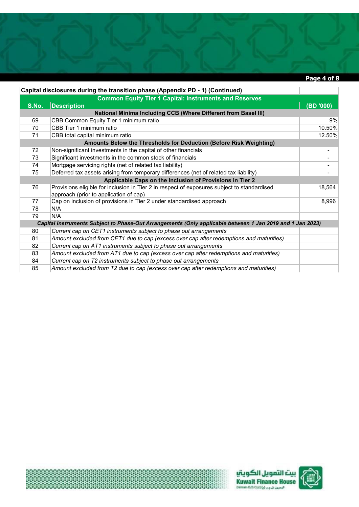#### **Page 4 of 8**

|                                                                                                           | Capital disclosures during the transition phase (Appendix PD - 1) (Continued)               |           |  |  |
|-----------------------------------------------------------------------------------------------------------|---------------------------------------------------------------------------------------------|-----------|--|--|
|                                                                                                           | <b>Common Equity Tier 1 Capital: Instruments and Reserves</b>                               |           |  |  |
| S.No.                                                                                                     | <b>Description</b>                                                                          | (BD '000) |  |  |
|                                                                                                           | <b>National Minima Including CCB (Where Different from Basel III)</b>                       |           |  |  |
| 69                                                                                                        | CBB Common Equity Tier 1 minimum ratio                                                      | 9%        |  |  |
| 70                                                                                                        | CBB Tier 1 minimum ratio                                                                    | 10.50%    |  |  |
| 71                                                                                                        | CBB total capital minimum ratio                                                             | 12.50%    |  |  |
|                                                                                                           | Amounts Below the Thresholds for Deduction (Before Risk Weighting)                          |           |  |  |
| 72                                                                                                        | Non-significant investments in the capital of other financials                              | ۰         |  |  |
| 73                                                                                                        | Significant investments in the common stock of financials                                   | -         |  |  |
| 74                                                                                                        | Mortgage servicing rights (net of related tax liability)                                    |           |  |  |
| 75                                                                                                        | Deferred tax assets arising from temporary differences (net of related tax liability)       |           |  |  |
| Applicable Caps on the Inclusion of Provisions in Tier 2                                                  |                                                                                             |           |  |  |
| 76                                                                                                        | Provisions eligible for inclusion in Tier 2 in respect of exposures subject to standardised | 18,564    |  |  |
|                                                                                                           | approach (prior to application of cap)                                                      |           |  |  |
| 77                                                                                                        | Cap on inclusion of provisions in Tier 2 under standardised approach                        | 8,996     |  |  |
| 78                                                                                                        | N/A                                                                                         |           |  |  |
| 79                                                                                                        | N/A                                                                                         |           |  |  |
| Capital Instruments Subject to Phase-Out Arrangements (Only applicable between 1 Jan 2019 and 1 Jan 2023) |                                                                                             |           |  |  |
| 80                                                                                                        | Current cap on CET1 instruments subject to phase out arrangements                           |           |  |  |
| 81                                                                                                        | Amount excluded from CET1 due to cap (excess over cap after redemptions and maturities)     |           |  |  |
| 82                                                                                                        | Current cap on AT1 instruments subject to phase out arrangements                            |           |  |  |
| 83                                                                                                        | Amount excluded from AT1 due to cap (excess over cap after redemptions and maturities)      |           |  |  |
| 84                                                                                                        | Current cap on T2 instruments subject to phase out arrangements                             |           |  |  |
| 85                                                                                                        | Amount excluded from T2 due to cap (excess over cap after redemptions and maturities)       |           |  |  |





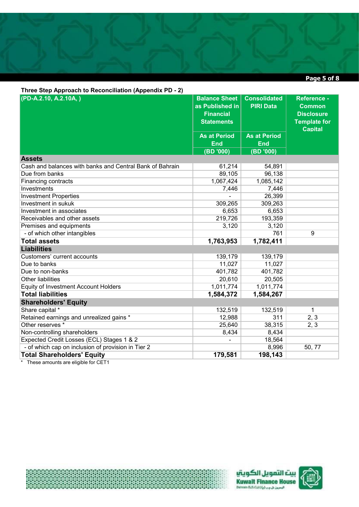### **Page 5 of 8**

| Three Step Approach to Reconciliation (Appendix PD - 2)  |                      |                     |                     |  |
|----------------------------------------------------------|----------------------|---------------------|---------------------|--|
| (PD-A.2.10, A.2.10A, )                                   | <b>Balance Sheet</b> | <b>Consolidated</b> | <b>Reference -</b>  |  |
|                                                          | as Published in      | <b>PIRI Data</b>    | <b>Common</b>       |  |
|                                                          | <b>Financial</b>     |                     | <b>Disclosure</b>   |  |
|                                                          | <b>Statements</b>    |                     | <b>Template for</b> |  |
|                                                          |                      |                     | <b>Capital</b>      |  |
|                                                          | <b>As at Period</b>  | <b>As at Period</b> |                     |  |
|                                                          | <b>End</b>           | <b>End</b>          |                     |  |
|                                                          | (BD '000)            | (BD '000)           |                     |  |
| <b>Assets</b>                                            |                      |                     |                     |  |
| Cash and balances with banks and Central Bank of Bahrain | 61,214               | 54,891              |                     |  |
| Due from banks                                           | 89,105               | 96,138              |                     |  |
| Financing contracts                                      | 1,067,424            | 1,085,142           |                     |  |
| Investments                                              | 7,446                | 7,446               |                     |  |
| <b>Investment Properties</b>                             |                      | 26,399              |                     |  |
| Investment in sukuk                                      | 309,265              | 309,263             |                     |  |
| Investment in associates                                 | 6,653                | 6,653               |                     |  |
| Receivables and other assets                             | 219,726              | 193,359             |                     |  |
| Premises and equipments                                  | 3,120                | 3,120               |                     |  |
| - of which other intangibles                             |                      | 761                 | $\overline{9}$      |  |
| <b>Total assets</b>                                      | 1,763,953            | 1,782,411           |                     |  |
| <b>Liabilities</b>                                       |                      |                     |                     |  |
| Customers' current accounts                              | 139,179              | 139,179             |                     |  |
| Due to banks                                             | 11,027               | 11,027              |                     |  |
| Due to non-banks                                         | 401,782              | 401,782             |                     |  |
| <b>Other liabilities</b>                                 | 20,610               | 20,505              |                     |  |
| <b>Equity of Investment Account Holders</b>              | 1,011,774            | 1,011,774           |                     |  |
| <b>Total liabilities</b>                                 | 1,584,372            | 1,584,267           |                     |  |
| <b>Shareholders' Equity</b>                              |                      |                     |                     |  |
| Share capital *                                          | 132,519              | 132,519             | 1                   |  |
| Retained earnings and unrealized gains *                 | 12,988               | 311                 | 2, 3                |  |
| Other reserves *                                         | 25,640               | 38,315              | 2, 3                |  |
| Non-controlling shareholders                             | 8,434                | 8,434               |                     |  |
| Expected Credit Losses (ECL) Stages 1 & 2                | $\blacksquare$       | 18,564              |                     |  |
| - of which cap on inclusion of provision in Tier 2       |                      | 8,996               | 50, 77              |  |
| <b>Total Shareholders' Equity</b>                        | 179,581              | 198,143             |                     |  |

\* These amounts are eligible for CET1

梭





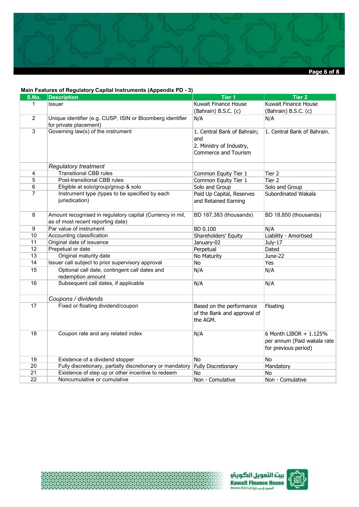

#### **Main Features of Regulatory Capital Instruments (Appendix PD - 3)**

裘

| S.No.           | <b>Description</b>                                         | Tier <sub>1</sub>           | <b>Tier 2</b>               |
|-----------------|------------------------------------------------------------|-----------------------------|-----------------------------|
| 1               | <b>Issuer</b>                                              | Kuwait Finance House        | Kuwait Finance House        |
|                 |                                                            | (Bahrain) B.S.C. (c)        | (Bahrain) B.S.C. (c)        |
| $\overline{2}$  | Unique identifier (e.g. CUSP, ISIN or Bloomberg identifier | N/A                         | N/A                         |
|                 | for private placement)                                     |                             |                             |
| $\overline{3}$  | Governing law(s) of the instrument                         | 1. Central Bank of Bahrain; | 1. Central Bank of Bahrain. |
|                 |                                                            | and                         |                             |
|                 |                                                            | 2. Ministry of Industry,    |                             |
|                 |                                                            | Commerce and Tourism        |                             |
|                 |                                                            |                             |                             |
|                 | <b>Regulatory treatment</b>                                |                             |                             |
| 4               | <b>Transitional CBB rules</b>                              | Common Equity Tier 1        | Tier 2                      |
| 5               | Post-transitional CBB rules                                | Common Equity Tier 1        | Tier 2                      |
| 6               | Eligible at solo/group/group & solo                        | Solo and Group              | Solo and Group              |
| $\overline{7}$  | Instrument type (types to be specified by each             | Paid Up Capital, Reserves   | Subordinated Wakala         |
|                 | jurisdication)                                             | and Retained Earning        |                             |
|                 |                                                            |                             |                             |
| 8               | Amount recognised in regulatory capital (Currency in mil,  | BD 187,383 (thousands)      | BD 18,850 (thousands)       |
|                 | as of most recent reporting date)                          |                             |                             |
| 9               | Par value of instrument                                    | BD 0.100                    | N/A                         |
| 10              | Accounting classification                                  | Shareholders' Equity        | Liability - Amortised       |
| 11              | Original date of issuance                                  | January-02                  | July-17                     |
| 12              | Prepetual or date                                          | Perpetual                   | Dated                       |
| 13              | Original maturity date                                     | No Maturity                 | June-22                     |
| 14              | Issuer call subject to prior supervisory approval          | No                          | Yes                         |
| 15              | Optional call date, contingent call dates and              | N/A                         | N/A                         |
|                 | redemption amount                                          |                             |                             |
| 16              | Subsequent call dates, if applicable                       | N/A                         | N/A                         |
|                 |                                                            |                             |                             |
|                 | Coupons / dividends                                        |                             |                             |
| 17              | Fixed or floating dividend/coupon                          | Based on the performance    | Floating                    |
|                 |                                                            | of the Bank and approval of |                             |
|                 |                                                            | the AGM.                    |                             |
|                 |                                                            |                             |                             |
| 18              | Coupon rate and any related index                          | N/A                         | 6 Month LIBOR + 1.125%      |
|                 |                                                            |                             | per annum (Paid wakala rate |
|                 |                                                            |                             | for previous period)        |
| 19              | Existence of a dividend stopper                            | No                          | No                          |
| 20              | Fully discretionary, partially discretionary or mandatory  | <b>Fully Discretionary</b>  | Mandatory                   |
| $\overline{21}$ | Existence of step up or other incentive to redeem          | No                          | <b>No</b>                   |
| 22              | Noncumulative or cumulative                                | Non - Comulative            | Non - Comulative            |
|                 |                                                            |                             |                             |



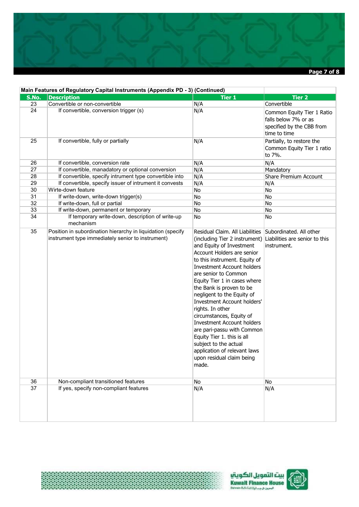

|       | Main Features of Regulatory Capital Instruments (Appendix PD - 3) (Continued)                                    |                                                                                                                                                                                                                                                                                                                                                                                                                                                                                                                                                                                                          |                                                                                                 |  |  |
|-------|------------------------------------------------------------------------------------------------------------------|----------------------------------------------------------------------------------------------------------------------------------------------------------------------------------------------------------------------------------------------------------------------------------------------------------------------------------------------------------------------------------------------------------------------------------------------------------------------------------------------------------------------------------------------------------------------------------------------------------|-------------------------------------------------------------------------------------------------|--|--|
| S.No. | <b>Description</b>                                                                                               | <b>Tier 1</b>                                                                                                                                                                                                                                                                                                                                                                                                                                                                                                                                                                                            | Tier <sub>2</sub>                                                                               |  |  |
| 23    | Convertible or non-convertible                                                                                   | N/A                                                                                                                                                                                                                                                                                                                                                                                                                                                                                                                                                                                                      | Convertible                                                                                     |  |  |
| 24    | If convertible, conversion trigger (s)                                                                           | N/A                                                                                                                                                                                                                                                                                                                                                                                                                                                                                                                                                                                                      | Common Equity Tier 1 Ratio<br>falls below 7% or as<br>specified by the CBB from<br>time to time |  |  |
| 25    | If convertible, fully or partially                                                                               | N/A                                                                                                                                                                                                                                                                                                                                                                                                                                                                                                                                                                                                      | Partially, to restore the<br>Common Equity Tier 1 ratio<br>to 7%.                               |  |  |
| 26    | If convertible, conversion rate                                                                                  | N/A                                                                                                                                                                                                                                                                                                                                                                                                                                                                                                                                                                                                      | N/A                                                                                             |  |  |
| 27    | If convertible, manadatory or optional conversion                                                                | N/A                                                                                                                                                                                                                                                                                                                                                                                                                                                                                                                                                                                                      | Mandatory                                                                                       |  |  |
| 28    | If convertible, specify intrument type convertible into                                                          | N/A                                                                                                                                                                                                                                                                                                                                                                                                                                                                                                                                                                                                      | Share Premium Account                                                                           |  |  |
| 29    | If convertible, specify issuer of intrument it convests                                                          | N/A                                                                                                                                                                                                                                                                                                                                                                                                                                                                                                                                                                                                      | N/A                                                                                             |  |  |
| 30    | Wirte-down feature                                                                                               | No                                                                                                                                                                                                                                                                                                                                                                                                                                                                                                                                                                                                       | No                                                                                              |  |  |
| 31    | If write-down, write-down trigger(s)                                                                             | No                                                                                                                                                                                                                                                                                                                                                                                                                                                                                                                                                                                                       | No                                                                                              |  |  |
| 32    | If write-down, full or partial                                                                                   | No                                                                                                                                                                                                                                                                                                                                                                                                                                                                                                                                                                                                       | No                                                                                              |  |  |
| 33    | If write-down, permanent or temporary                                                                            | No                                                                                                                                                                                                                                                                                                                                                                                                                                                                                                                                                                                                       | No                                                                                              |  |  |
| 34    | If temporary write-down, description of write-up<br>mechanism                                                    | No                                                                                                                                                                                                                                                                                                                                                                                                                                                                                                                                                                                                       | No                                                                                              |  |  |
| 35    | Position in subordination hierarchy in liquidation (specify<br>instrument type immediately senior to instrument) | Residual Claim. All Liabilities<br>(including Tier 2 instrument)<br>and Equity of Investment<br>Account Holders are senior<br>to this instrument. Equity of<br><b>Investment Account holders</b><br>are senior to Common<br>Equity Tier 1 in cases where<br>the Bank is proven to be<br>negligent to the Equity of<br><b>Investment Account holders'</b><br>rights. In other<br>circumstances, Equity of<br><b>Investment Account holders</b><br>are pari-passu with Common<br>Equity Tier 1. this is all<br>subject to the actual<br>application of relevant laws<br>upon residual claim being<br>made. | Subordinated. All other<br>Liabilities are senior to this<br>instrument.                        |  |  |
| 36    | Non-compliant transitioned features                                                                              | No                                                                                                                                                                                                                                                                                                                                                                                                                                                                                                                                                                                                       | No                                                                                              |  |  |
| 37    | If yes, specify non-compliant features                                                                           | N/A                                                                                                                                                                                                                                                                                                                                                                                                                                                                                                                                                                                                      | N/A                                                                                             |  |  |

\$